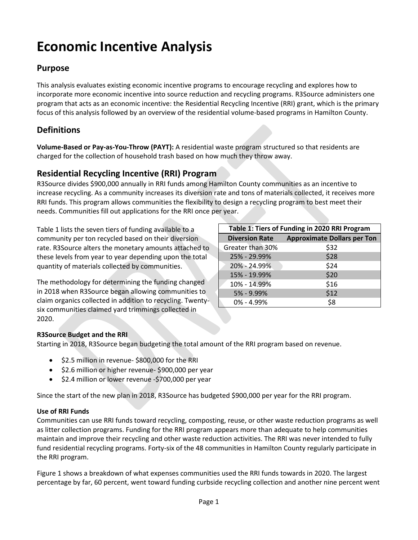# **Economic Incentive Analysis**

## **Purpose**

This analysis evaluates existing economic incentive programs to encourage recycling and explores how to incorporate more economic incentive into source reduction and recycling programs. R3Source administers one program that acts as an economic incentive: the Residential Recycling Incentive (RRI) grant, which is the primary focus of this analysis followed by an overview of the residential volume-based programs in Hamilton County.

## **Definitions**

**Volume-Based or Pay-as-You-Throw (PAYT):** A residential waste program structured so that residents are charged for the collection of household trash based on how much they throw away.

## **Residential Recycling Incentive (RRI) Program**

R3Source divides \$900,000 annually in RRI funds among Hamilton County communities as an incentive to increase recycling. As a community increases its diversion rate and tons of materials collected, it receives more RRI funds. This program allows communities the flexibility to design a recycling program to best meet their needs. Communities fill out applications for the RRI once per year.

Table 1 lists the seven tiers of funding available to a community per ton recycled based on their diversion rate. R3Source alters the monetary amounts attached to these levels from year to year depending upon the total quantity of materials collected by communities.

The methodology for determining the funding changed in 2018 when R3Source began allowing communities to claim organics collected in addition to recycling. Twentysix communities claimed yard trimmings collected in 2020.

| Table 1: Tiers of Funding in 2020 RRI Program |                                    |  |  |
|-----------------------------------------------|------------------------------------|--|--|
| <b>Diversion Rate</b>                         | <b>Approximate Dollars per Ton</b> |  |  |
| Greater than 30%                              | \$32                               |  |  |
| 25% - 29.99%                                  | \$28                               |  |  |
| 20% - 24.99%                                  | \$24                               |  |  |
| 15% - 19.99%                                  | \$20                               |  |  |
| 10% - 14.99%                                  | \$16                               |  |  |
| 5% - 9.99%                                    | \$12                               |  |  |
| $0\% - 4.99\%$                                | \$8                                |  |  |

## **R3Source Budget and the RRI**

Starting in 2018, R3Source began budgeting the total amount of the RRI program based on revenue.

- \$2.5 million in revenue- \$800,000 for the RRI
- \$2.6 million or higher revenue- \$900,000 per year
- \$2.4 million or lower revenue -\$700,000 per year

Since the start of the new plan in 2018, R3Source has budgeted \$900,000 per year for the RRI program.

#### **Use of RRI Funds**

Communities can use RRI funds toward recycling, composting, reuse, or other waste reduction programs as well as litter collection programs. Funding for the RRI program appears more than adequate to help communities maintain and improve their recycling and other waste reduction activities. The RRI was never intended to fully fund residential recycling programs. Forty-six of the 48 communities in Hamilton County regularly participate in the RRI program.

Figure 1 shows a breakdown of what expenses communities used the RRI funds towards in 2020. The largest percentage by far, 60 percent, went toward funding curbside recycling collection and another nine percent went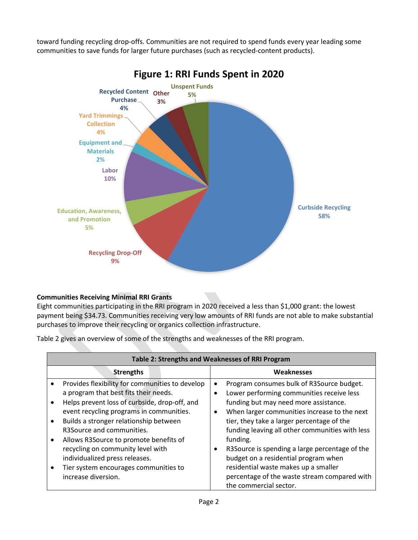toward funding recycling drop-offs. Communities are not required to spend funds every year leading some communities to save funds for larger future purchases (such as recycled-content products).



# **Figure 1: RRI Funds Spent in 2020**

## **Communities Receiving Minimal RRI Grants**

Eight communities participating in the RRI program in 2020 received a less than \$1,000 grant: the lowest payment being \$34.73. Communities receiving very low amounts of RRI funds are not able to make substantial purchases to improve their recycling or organics collection infrastructure.

Table 2 gives an overview of some of the strengths and weaknesses of the RRI program.

|                                                  | Table 2: Strengths and Weaknesses of RRI Program                                                                                                                                                                                                                                                                                                                                                                       |                             |                                                                                                                                                                                                                                                                                                                                                                                                                                |  |
|--------------------------------------------------|------------------------------------------------------------------------------------------------------------------------------------------------------------------------------------------------------------------------------------------------------------------------------------------------------------------------------------------------------------------------------------------------------------------------|-----------------------------|--------------------------------------------------------------------------------------------------------------------------------------------------------------------------------------------------------------------------------------------------------------------------------------------------------------------------------------------------------------------------------------------------------------------------------|--|
|                                                  | <b>Strengths</b>                                                                                                                                                                                                                                                                                                                                                                                                       |                             | Weaknesses                                                                                                                                                                                                                                                                                                                                                                                                                     |  |
| $\bullet$<br>$\bullet$<br>$\bullet$<br>$\bullet$ | Provides flexibility for communities to develop<br>a program that best fits their needs.<br>Helps prevent loss of curbside, drop-off, and<br>event recycling programs in communities.<br>Builds a stronger relationship between<br>R3Source and communities.<br>Allows R3Source to promote benefits of<br>recycling on community level with<br>individualized press releases.<br>Tier system encourages communities to | $\bullet$<br>$\bullet$<br>٠ | Program consumes bulk of R3Source budget.<br>Lower performing communities receive less<br>funding but may need more assistance.<br>When larger communities increase to the next<br>tier, they take a larger percentage of the<br>funding leaving all other communities with less<br>funding.<br>R3Source is spending a large percentage of the<br>budget on a residential program when<br>residential waste makes up a smaller |  |
|                                                  | increase diversion.                                                                                                                                                                                                                                                                                                                                                                                                    |                             | percentage of the waste stream compared with<br>the commercial sector.                                                                                                                                                                                                                                                                                                                                                         |  |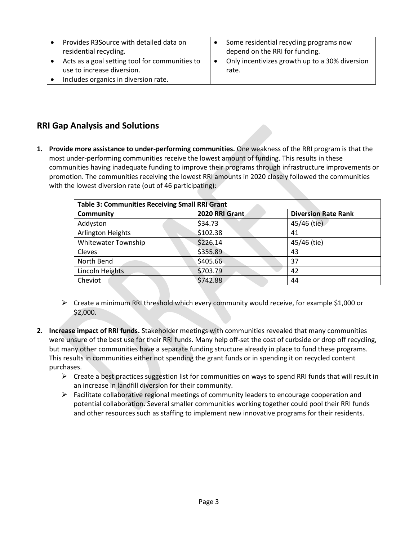| Provides R3Source with detailed data on        |           | Some residential recycling programs now        |
|------------------------------------------------|-----------|------------------------------------------------|
| residential recycling.                         |           | depend on the RRI for funding.                 |
| Acts as a goal setting tool for communities to | $\bullet$ | Only incentivizes growth up to a 30% diversion |
| use to increase diversion.                     |           | rate.                                          |
| Includes organics in diversion rate.           |           |                                                |

## **RRI Gap Analysis and Solutions**

**1. Provide more assistance to under-performing communities.** One weakness of the RRI program is that the most under-performing communities receive the lowest amount of funding. This results in these communities having inadequate funding to improve their programs through infrastructure improvements or promotion. The communities receiving the lowest RRI amounts in 2020 closely followed the communities with the lowest diversion rate (out of 46 participating):

| <b>Table 3: Communities Receiving Small RRI Grant</b> |                |                            |  |  |  |
|-------------------------------------------------------|----------------|----------------------------|--|--|--|
| <b>Community</b>                                      | 2020 RRI Grant | <b>Diversion Rate Rank</b> |  |  |  |
| Addyston                                              | \$34.73        | 45/46 (tie)                |  |  |  |
| <b>Arlington Heights</b>                              | \$102.38       | 41                         |  |  |  |
| <b>Whitewater Township</b>                            | \$226.14       | 45/46 (tie)                |  |  |  |
| Cleves                                                | \$355.89       | 43                         |  |  |  |
| North Bend                                            | \$405.66       | 37                         |  |  |  |
| Lincoln Heights                                       | \$703.79       | 42                         |  |  |  |
| Cheviot                                               | \$742.88       | 44                         |  |  |  |

- ➢ Create a minimum RRI threshold which every community would receive, for example \$1,000 or \$2,000.
- **2. Increase impact of RRI funds.** Stakeholder meetings with communities revealed that many communities were unsure of the best use for their RRI funds. Many help off-set the cost of curbside or drop off recycling, but many other communities have a separate funding structure already in place to fund these programs. This results in communities either not spending the grant funds or in spending it on recycled content purchases.
	- $\triangleright$  Create a best practices suggestion list for communities on ways to spend RRI funds that will result in an increase in landfill diversion for their community.
	- $\triangleright$  Facilitate collaborative regional meetings of community leaders to encourage cooperation and potential collaboration. Several smaller communities working together could pool their RRI funds and other resources such as staffing to implement new innovative programs for their residents.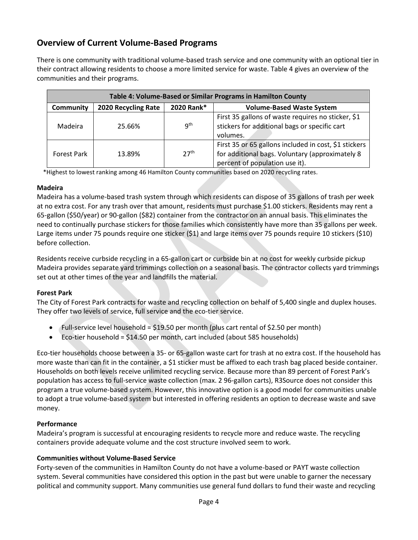## **Overview of Current Volume-Based Programs**

There is one community with traditional volume-based trash service and one community with an optional tier in their contract allowing residents to choose a more limited service for waste. Table 4 gives an overview of the communities and their programs.

| Table 4: Volume-Based or Similar Programs in Hamilton County |                     |                  |                                                                                                                                            |  |
|--------------------------------------------------------------|---------------------|------------------|--------------------------------------------------------------------------------------------------------------------------------------------|--|
| <b>Community</b>                                             | 2020 Recycling Rate | 2020 Rank*       | <b>Volume-Based Waste System</b>                                                                                                           |  |
| Madeira                                                      | 25.66%              | q <sup>th</sup>  | First 35 gallons of waste requires no sticker, \$1<br>stickers for additional bags or specific cart<br>volumes.                            |  |
| <b>Forest Park</b>                                           | 13.89%              | 27 <sup>th</sup> | First 35 or 65 gallons included in cost, \$1 stickers<br>for additional bags. Voluntary (approximately 8<br>percent of population use it). |  |

\*Highest to lowest ranking among 46 Hamilton County communities based on 2020 recycling rates.

#### **Madeira**

Madeira has a volume-based trash system through which residents can dispose of 35 gallons of trash per week at no extra cost. For any trash over that amount, residents must purchase \$1.00 stickers. Residents may rent a 65-gallon (\$50/year) or 90-gallon (\$82) container from the contractor on an annual basis. This eliminates the need to continually purchase stickers for those families which consistently have more than 35 gallons per week. Large items under 75 pounds require one sticker (\$1) and large items over 75 pounds require 10 stickers (\$10) before collection.

Residents receive curbside recycling in a 65-gallon cart or curbside bin at no cost for weekly curbside pickup Madeira provides separate yard trimmings collection on a seasonal basis. The contractor collects yard trimmings set out at other times of the year and landfills the material.

#### **Forest Park**

The City of Forest Park contracts for waste and recycling collection on behalf of 5,400 single and duplex houses. They offer two levels of service, full service and the eco-tier service.

- Full-service level household = \$19.50 per month (plus cart rental of \$2.50 per month)
- Eco-tier household = \$14.50 per month, cart included (about 585 households)

Eco-tier households choose between a 35- or 65-gallon waste cart for trash at no extra cost. If the household has more waste than can fit in the container, a \$1 sticker must be affixed to each trash bag placed beside container. Households on both levels receive unlimited recycling service. Because more than 89 percent of Forest Park's population has access to full-service waste collection (max. 2 96-gallon carts), R3Source does not consider this program a true volume-based system. However, this innovative option is a good model for communities unable to adopt a true volume-based system but interested in offering residents an option to decrease waste and save money.

#### **Performance**

Madeira's program is successful at encouraging residents to recycle more and reduce waste. The recycling containers provide adequate volume and the cost structure involved seem to work.

#### **Communities without Volume-Based Service**

Forty-seven of the communities in Hamilton County do not have a volume-based or PAYT waste collection system. Several communities have considered this option in the past but were unable to garner the necessary political and community support. Many communities use general fund dollars to fund their waste and recycling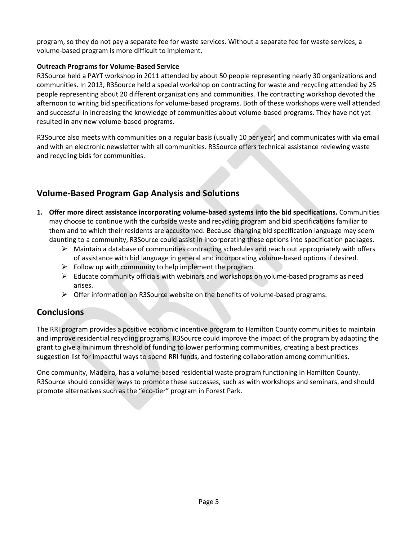program, so they do not pay a separate fee for waste services. Without a separate fee for waste services, a volume-based program is more difficult to implement.

#### **Outreach Programs for Volume-Based Service**

R3Source held a PAYT workshop in 2011 attended by about 50 people representing nearly 30 organizations and communities. In 2013, R3Source held a special workshop on contracting for waste and recycling attended by 25 people representing about 20 different organizations and communities. The contracting workshop devoted the afternoon to writing bid specifications for volume-based programs. Both of these workshops were well attended and successful in increasing the knowledge of communities about volume-based programs. They have not yet resulted in any new volume-based programs.

R3Source also meets with communities on a regular basis (usually 10 per year) and communicates with via email and with an electronic newsletter with all communities. R3Source offers technical assistance reviewing waste and recycling bids for communities.

# **Volume-Based Program Gap Analysis and Solutions**

- **1. Offer more direct assistance incorporating volume-based systems into the bid specifications.** Communities may choose to continue with the curbside waste and recycling program and bid specifications familiar to them and to which their residents are accustomed. Because changing bid specification language may seem daunting to a community, R3Source could assist in incorporating these options into specification packages.
	- $\triangleright$  Maintain a database of communities contracting schedules and reach out appropriately with offers of assistance with bid language in general and incorporating volume-based options if desired.
	- $\triangleright$  Follow up with community to help implement the program.
	- $\triangleright$  Educate community officials with webinars and workshops on volume-based programs as need arises.
	- ➢ Offer information on R3Source website on the benefits of volume-based programs.

## **Conclusions**

The RRI program provides a positive economic incentive program to Hamilton County communities to maintain and improve residential recycling programs. R3Source could improve the impact of the program by adapting the grant to give a minimum threshold of funding to lower performing communities, creating a best practices suggestion list for impactful ways to spend RRI funds, and fostering collaboration among communities.

One community, Madeira, has a volume-based residential waste program functioning in Hamilton County. R3Source should consider ways to promote these successes, such as with workshops and seminars, and should promote alternatives such as the "eco-tier" program in Forest Park.